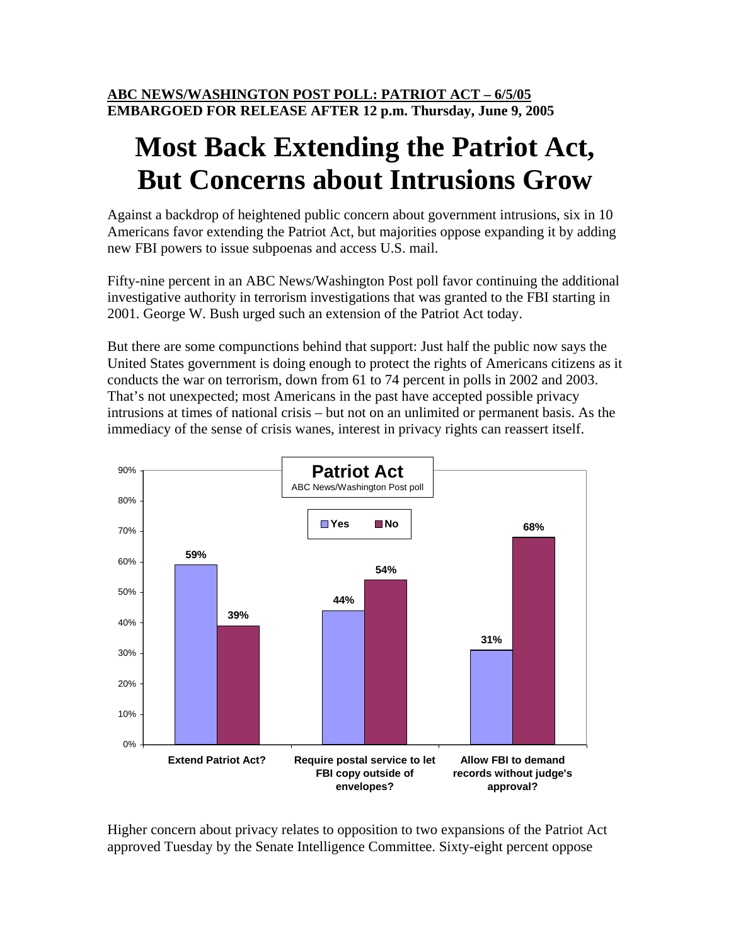## **Most Back Extending the Patriot Act, But Concerns about Intrusions Grow**

Against a backdrop of heightened public concern about government intrusions, six in 10 Americans favor extending the Patriot Act, but majorities oppose expanding it by adding new FBI powers to issue subpoenas and access U.S. mail.

Fifty-nine percent in an ABC News/Washington Post poll favor continuing the additional investigative authority in terrorism investigations that was granted to the FBI starting in 2001. George W. Bush urged such an extension of the Patriot Act today.

But there are some compunctions behind that support: Just half the public now says the United States government is doing enough to protect the rights of Americans citizens as it conducts the war on terrorism, down from 61 to 74 percent in polls in 2002 and 2003. That's not unexpected; most Americans in the past have accepted possible privacy intrusions at times of national crisis – but not on an unlimited or permanent basis. As the immediacy of the sense of crisis wanes, interest in privacy rights can reassert itself.



Higher concern about privacy relates to opposition to two expansions of the Patriot Act approved Tuesday by the Senate Intelligence Committee. Sixty-eight percent oppose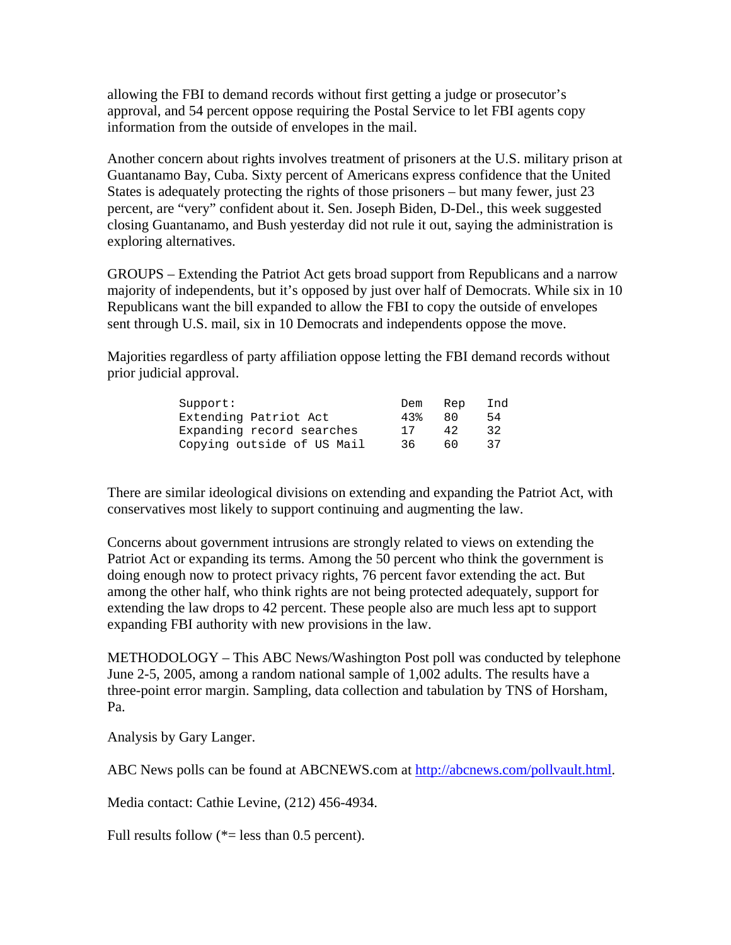allowing the FBI to demand records without first getting a judge or prosecutor's approval, and 54 percent oppose requiring the Postal Service to let FBI agents copy information from the outside of envelopes in the mail.

Another concern about rights involves treatment of prisoners at the U.S. military prison at Guantanamo Bay, Cuba. Sixty percent of Americans express confidence that the United States is adequately protecting the rights of those prisoners – but many fewer, just 23 percent, are "very" confident about it. Sen. Joseph Biden, D-Del., this week suggested closing Guantanamo, and Bush yesterday did not rule it out, saying the administration is exploring alternatives.

GROUPS – Extending the Patriot Act gets broad support from Republicans and a narrow majority of independents, but it's opposed by just over half of Democrats. While six in 10 Republicans want the bill expanded to allow the FBI to copy the outside of envelopes sent through U.S. mail, six in 10 Democrats and independents oppose the move.

Majorities regardless of party affiliation oppose letting the FBI demand records without prior judicial approval.

| Support:                   | Dem | Rep | Ind |
|----------------------------|-----|-----|-----|
| Extending Patriot Act      | 43% | 80  | 54  |
| Expanding record searches  |     | 42  | 32  |
| Copying outside of US Mail | 36. | 60  | 37  |

There are similar ideological divisions on extending and expanding the Patriot Act, with conservatives most likely to support continuing and augmenting the law.

Concerns about government intrusions are strongly related to views on extending the Patriot Act or expanding its terms. Among the 50 percent who think the government is doing enough now to protect privacy rights, 76 percent favor extending the act. But among the other half, who think rights are not being protected adequately, support for extending the law drops to 42 percent. These people also are much less apt to support expanding FBI authority with new provisions in the law.

METHODOLOGY – This ABC News/Washington Post poll was conducted by telephone June 2-5, 2005, among a random national sample of 1,002 adults. The results have a three-point error margin. Sampling, data collection and tabulation by TNS of Horsham, Pa.

Analysis by Gary Langer.

ABC News polls can be found at ABCNEWS.com at http://abcnews.com/pollvault.html.

Media contact: Cathie Levine, (212) 456-4934.

Full results follow  $(*=$  less than 0.5 percent).